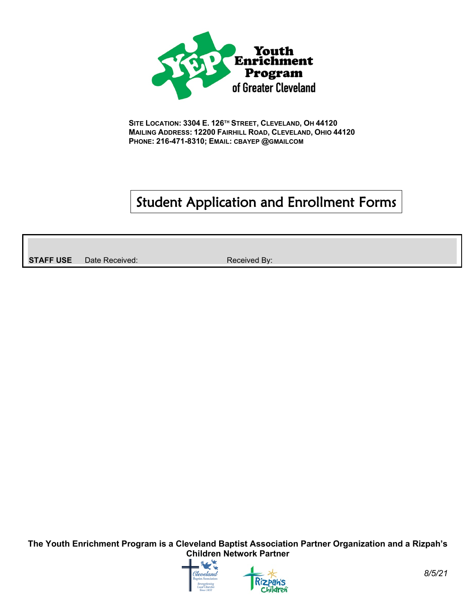

**SITE LOCATION: 3304 E. 126TH STREET, CLEVELAND, OH 44120 MAILING ADDRESS: 12200 FAIRHILL ROAD, CLEVELAND, OHIO 44120 PHONE: 216-471-8310; EMAIL: CBAYEP @GMAILCOM**

# Student Application and Enrollment Forms

**STAFF USE** Date Received: Received: Received By:



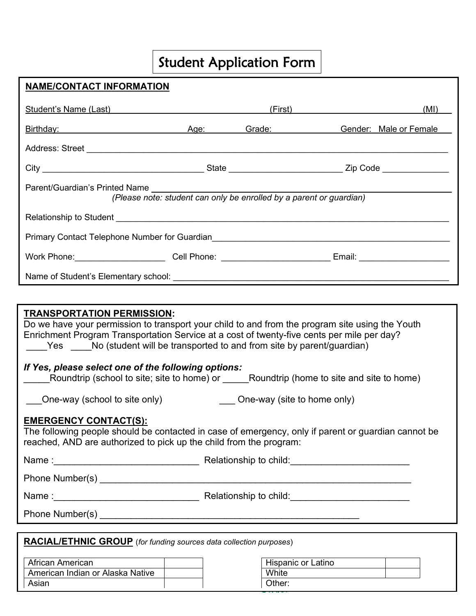# Student Application Form

| NAME/CONTACT INFORMATION                                                                                                                                                                                                                                                                                                                                                                                                                                                                                                                                                                                                                           |                                                                                                       |  |                        |  |
|----------------------------------------------------------------------------------------------------------------------------------------------------------------------------------------------------------------------------------------------------------------------------------------------------------------------------------------------------------------------------------------------------------------------------------------------------------------------------------------------------------------------------------------------------------------------------------------------------------------------------------------------------|-------------------------------------------------------------------------------------------------------|--|------------------------|--|
| Student's Name (Last) Student and Control of the Control of the Control of the Control of the Control of the Control of the Control of the Control of the Control of the Control of the Control of the Control of the Control                                                                                                                                                                                                                                                                                                                                                                                                                      |                                                                                                       |  | (First)<br>(MI)        |  |
| Birthday: Age: Grade: Capacase Contract Age: Crade:                                                                                                                                                                                                                                                                                                                                                                                                                                                                                                                                                                                                |                                                                                                       |  | Gender: Male or Female |  |
| Address: Street Management of the Contract of the Contract of the Contract of the Contract of the Contract of the Contract of the Contract of the Contract of the Contract of the Contract of the Contract of the Contract of                                                                                                                                                                                                                                                                                                                                                                                                                      |                                                                                                       |  |                        |  |
|                                                                                                                                                                                                                                                                                                                                                                                                                                                                                                                                                                                                                                                    |                                                                                                       |  |                        |  |
|                                                                                                                                                                                                                                                                                                                                                                                                                                                                                                                                                                                                                                                    | Parent/Guardian's Printed Name<br>(Please note: student can only be enrolled by a parent or guardian) |  |                        |  |
|                                                                                                                                                                                                                                                                                                                                                                                                                                                                                                                                                                                                                                                    |                                                                                                       |  |                        |  |
|                                                                                                                                                                                                                                                                                                                                                                                                                                                                                                                                                                                                                                                    |                                                                                                       |  |                        |  |
| Work Phone: ___________________________Cell Phone: _____________________________Email: _______________________                                                                                                                                                                                                                                                                                                                                                                                                                                                                                                                                     |                                                                                                       |  |                        |  |
|                                                                                                                                                                                                                                                                                                                                                                                                                                                                                                                                                                                                                                                    |                                                                                                       |  |                        |  |
|                                                                                                                                                                                                                                                                                                                                                                                                                                                                                                                                                                                                                                                    |                                                                                                       |  |                        |  |
| <b>TRANSPORTATION PERMISSION:</b><br>Do we have your permission to transport your child to and from the program site using the Youth<br>Enrichment Program Transportation Service at a cost of twenty-five cents per mile per day?<br>Yes No (student will be transported to and from site by parent/guardian)<br>If Yes, please select one of the following options:<br>One-way (site to home only)<br>One-way (school to site only)<br><b>EMERGENCY CONTACT(S):</b><br>The following people should be contacted in case of emergency, only if parent or guardian cannot be<br>reached, AND are authorized to pick up the child from the program: |                                                                                                       |  |                        |  |
|                                                                                                                                                                                                                                                                                                                                                                                                                                                                                                                                                                                                                                                    |                                                                                                       |  |                        |  |
|                                                                                                                                                                                                                                                                                                                                                                                                                                                                                                                                                                                                                                                    |                                                                                                       |  |                        |  |
|                                                                                                                                                                                                                                                                                                                                                                                                                                                                                                                                                                                                                                                    |                                                                                                       |  |                        |  |
|                                                                                                                                                                                                                                                                                                                                                                                                                                                                                                                                                                                                                                                    |                                                                                                       |  |                        |  |
| <b>RACIAL/ETHNIC GROUP</b> (for funding sources data collection purposes)                                                                                                                                                                                                                                                                                                                                                                                                                                                                                                                                                                          |                                                                                                       |  |                        |  |

| African American                 | Hispanic or Latino |
|----------------------------------|--------------------|
| American Indian or Alaska Native | White              |
| Asian                            | Other:             |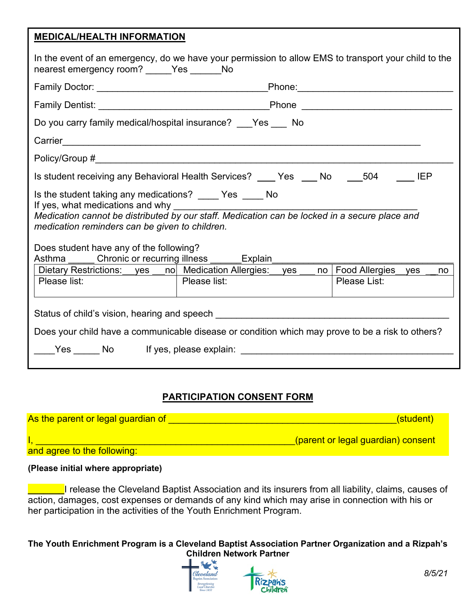#### **MEDICAL/HEALTH INFORMATION**

| In the event of an emergency, do we have your permission to allow EMS to transport your child to the<br>nearest emergency room? _____ Yes ______ No                                                                                                                                                                                        |              |              |  |
|--------------------------------------------------------------------------------------------------------------------------------------------------------------------------------------------------------------------------------------------------------------------------------------------------------------------------------------------|--------------|--------------|--|
|                                                                                                                                                                                                                                                                                                                                            |              |              |  |
|                                                                                                                                                                                                                                                                                                                                            |              |              |  |
| Do you carry family medical/hospital insurance? Yes No                                                                                                                                                                                                                                                                                     |              |              |  |
|                                                                                                                                                                                                                                                                                                                                            |              |              |  |
| Policy/Group # 2009 and 2009 and 2009 and 2009 and 2009 and 2009 and 2009 and 2009 and 2009 and 200                                                                                                                                                                                                                                        |              |              |  |
| Is student receiving any Behavioral Health Services? ____ Yes ___ No ____504                                                                                                                                                                                                                                                               |              | <b>IEP</b>   |  |
| Is the student taking any medications? _____ Yes _____ No<br>If yes, what medications and why<br>Medication cannot be distributed by our staff. Medication can be locked in a secure place and<br>medication reminders can be given to children.<br>Does student have any of the following?<br>Asthma Chronic or recurring illness Explain |              |              |  |
| Dietary Restrictions: __yes __no   Medication Allergies: __yes ___ no   Food Allergies __yes __                                                                                                                                                                                                                                            |              | no           |  |
| Please list:                                                                                                                                                                                                                                                                                                                               | Please list: | Please List: |  |
| Status of child's vision, hearing and speech states are allowed to all the States of Child's vision,<br>Does your child have a communicable disease or condition which may prove to be a risk to others?<br>The Second Yes Not in the Second Second Second Second Second Second Second Second Second Second Second Second S                |              |              |  |

# **PARTICIPATION CONSENT FORM**

| As the parent or legal guardian of | (student)                          |
|------------------------------------|------------------------------------|
|                                    | (parent or legal guardian) consent |
| and agree to the following:        |                                    |

#### **(Please initial where appropriate)**

**Lucce** 1 release the Cleveland Baptist Association and its insurers from all liability, claims, causes of action, damages, cost expenses or demands of any kind which may arise in connection with his or her participation in the activities of the Youth Enrichment Program.

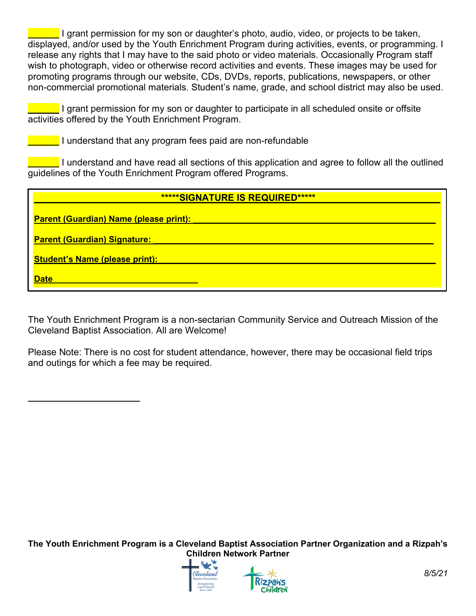**Lacco** I grant permission for my son or daughter's photo, audio, video, or projects to be taken, displayed, and/or used by the Youth Enrichment Program during activities, events, or programming. I release any rights that I may have to the said photo or video materials. Occasionally Program staff wish to photograph, video or otherwise record activities and events. These images may be used for promoting programs through our website, CDs, DVDs, reports, publications, newspapers, or other non-commercial promotional materials. Student's name, grade, and school district may also be used.

**\_\_\_\_\_\_** I grant permission for my son or daughter to participate in all scheduled onsite or offsite activities offered by the Youth Enrichment Program.

**The Lunderstand that any program fees paid are non-refundable** 

**The Lunderstand and have read all sections of this application and agree to follow all the outlined** guidelines of the Youth Enrichment Program offered Programs.

| *****SIGNATURE IS REQUIRED*****               |
|-----------------------------------------------|
| <b>Parent (Guardian) Name (please print):</b> |
| <b>Parent (Guardian) Signature:</b>           |
| <b>Student's Name (please print):</b>         |
| <b>Date</b>                                   |

The Youth Enrichment Program is a non-sectarian Community Service and Outreach Mission of the Cleveland Baptist Association. All are Welcome!

Please Note: There is no cost for student attendance, however, there may be occasional field trips and outings for which a fee may be required.



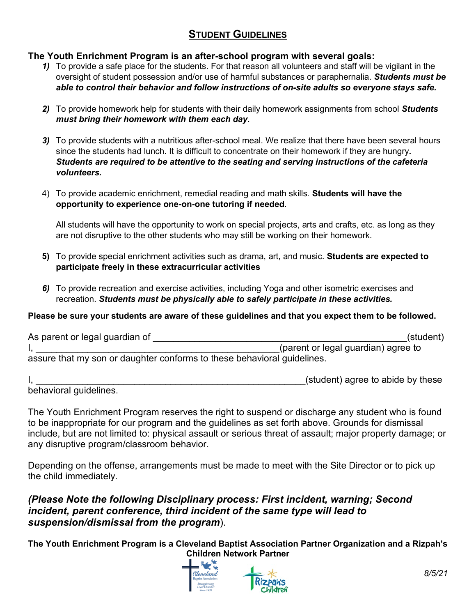# **STUDENT GUIDELINES**

#### **The Youth Enrichment Program is an after-school program with several goals:**

- *1)* To provide a safe place for the students. For that reason all volunteers and staff will be vigilant in the oversight of student possession and/or use of harmful substances or paraphernalia. *Students must be able to control their behavior and follow instructions of on-site adults so everyone stays safe.*
- *2)* To provide homework help for students with their daily homework assignments from school *Students must bring their homework with them each day.*
- *3)* To provide students with a nutritious after-school meal. We realize that there have been several hours since the students had lunch. It is difficult to concentrate on their homework if they are hungry*. Students are required to be attentive to the seating and serving instructions of the cafeteria volunteers.*
- 4) To provide academic enrichment, remedial reading and math skills. **Students will have the opportunity to experience one-on-one tutoring if needed**.

All students will have the opportunity to work on special projects, arts and crafts, etc. as long as they are not disruptive to the other students who may still be working on their homework.

- **5)** To provide special enrichment activities such as drama, art, and music. **Students are expected to participate freely in these extracurricular activities**
- *6)* To provide recreation and exercise activities, including Yoga and other isometric exercises and recreation. *Students must be physically able to safely participate in these activities.*

#### **Please be sure your students are aware of these guidelines and that you expect them to be followed.**

| As parent or legal guardian of                                          | (student)                           |  |  |
|-------------------------------------------------------------------------|-------------------------------------|--|--|
|                                                                         | (parent or legal guardian) agree to |  |  |
| assure that my son or daughter conforms to these behavioral guidelines. |                                     |  |  |
|                                                                         |                                     |  |  |

I, 1, 2008 and the set of the set of the set of the set of the set of the set of the set of the set of the set of the set of the set of the set of the set of the set of the set of the set of the set of the set of the set o behavioral guidelines.

The Youth Enrichment Program reserves the right to suspend or discharge any student who is found to be inappropriate for our program and the guidelines as set forth above. Grounds for dismissal include, but are not limited to: physical assault or serious threat of assault; major property damage; or any disruptive program/classroom behavior.

Depending on the offense, arrangements must be made to meet with the Site Director or to pick up the child immediately.

## *(Please Note the following Disciplinary process: First incident, warning; Second incident, parent conference, third incident of the same type will lead to suspension/dismissal from the program*).

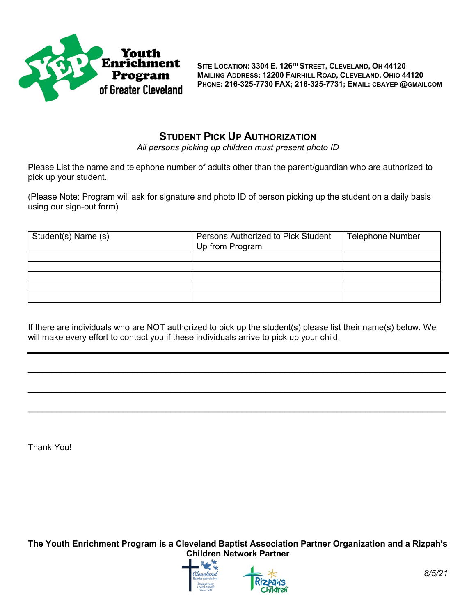

**SITE LOCATION: 3304 E. 126TH STREET, CLEVELAND, OH 44120 MAILING ADDRESS: 12200 FAIRHILL ROAD, CLEVELAND, OHIO 44120 PHONE: 216-325-7730 FAX; 216-325-7731; EMAIL: CBAYEP @GMAILCOM**

# **STUDENT PICK UP AUTHORIZATION**

*All persons picking up children must present photo ID*

Please List the name and telephone number of adults other than the parent/guardian who are authorized to pick up your student.

(Please Note: Program will ask for signature and photo ID of person picking up the student on a daily basis using our sign-out form)

| Student(s) Name (s) | Persons Authorized to Pick Student<br>Up from Program | <b>Telephone Number</b> |
|---------------------|-------------------------------------------------------|-------------------------|
|                     |                                                       |                         |
|                     |                                                       |                         |
|                     |                                                       |                         |
|                     |                                                       |                         |
|                     |                                                       |                         |

If there are individuals who are NOT authorized to pick up the student(s) please list their name(s) below. We will make every effort to contact you if these individuals arrive to pick up your child.

 $\_$  , and the set of the set of the set of the set of the set of the set of the set of the set of the set of the set of the set of the set of the set of the set of the set of the set of the set of the set of the set of th

 $\_$  , and the set of the set of the set of the set of the set of the set of the set of the set of the set of the set of the set of the set of the set of the set of the set of the set of the set of the set of the set of th

 $\_$  ,  $\_$  ,  $\_$  ,  $\_$  ,  $\_$  ,  $\_$  ,  $\_$  ,  $\_$  ,  $\_$  ,  $\_$  ,  $\_$  ,  $\_$  ,  $\_$  ,  $\_$  ,  $\_$  ,  $\_$  ,  $\_$  ,  $\_$  ,  $\_$  ,  $\_$  ,  $\_$  ,  $\_$  ,  $\_$  ,  $\_$  ,  $\_$  ,  $\_$  ,  $\_$  ,  $\_$  ,  $\_$  ,  $\_$  ,  $\_$  ,  $\_$  ,  $\_$  ,  $\_$  ,  $\_$  ,  $\_$  ,  $\_$  ,

Thank You!